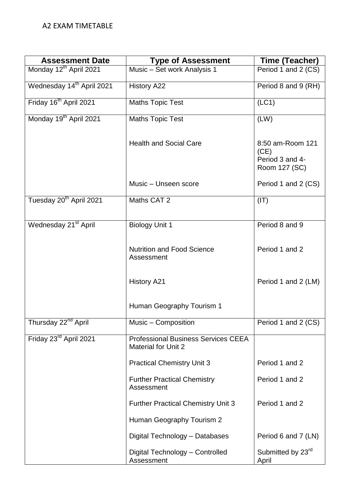| <b>Assessment Date</b>                | <b>Type of Assessment</b>                                                | Time (Teacher)                                               |
|---------------------------------------|--------------------------------------------------------------------------|--------------------------------------------------------------|
| Monday 12 <sup>th</sup> April 2021    | Music - Set work Analysis 1                                              | Period 1 and 2 (CS)                                          |
| Wednesday 14 <sup>th</sup> April 2021 | <b>History A22</b>                                                       | Period 8 and 9 (RH)                                          |
| Friday 16 <sup>th</sup> April 2021    | <b>Maths Topic Test</b>                                                  | (LC1)                                                        |
| Monday 19 <sup>th</sup> April 2021    | <b>Maths Topic Test</b>                                                  | (LW)                                                         |
|                                       | <b>Health and Social Care</b>                                            | 8:50 am-Room 121<br>(CE)<br>Period 3 and 4-<br>Room 127 (SC) |
|                                       | Music - Unseen score                                                     | Period 1 and 2 (CS)                                          |
| Tuesday 20 <sup>th</sup> April 2021   | Maths CAT 2                                                              | (IT)                                                         |
| Wednesday 21 <sup>st</sup> April      | Biology Unit 1                                                           | Period 8 and 9                                               |
|                                       | <b>Nutrition and Food Science</b><br>Assessment                          | Period 1 and 2                                               |
|                                       | <b>History A21</b>                                                       | Period 1 and 2 (LM)                                          |
|                                       | Human Geography Tourism 1                                                |                                                              |
| Thursday 22 <sup>nd</sup> April       | Music - Composition                                                      | Period 1 and 2 (CS)                                          |
| Friday 23rd April 2021                | <b>Professional Business Services CEEA</b><br><b>Material for Unit 2</b> |                                                              |
|                                       | <b>Practical Chemistry Unit 3</b>                                        | Period 1 and 2                                               |
|                                       | <b>Further Practical Chemistry</b><br>Assessment                         | Period 1 and 2                                               |
|                                       | <b>Further Practical Chemistry Unit 3</b>                                | Period 1 and 2                                               |
|                                       | Human Geography Tourism 2                                                |                                                              |
|                                       | Digital Technology - Databases                                           | Period 6 and 7 (LN)                                          |
|                                       | Digital Technology - Controlled<br>Assessment                            | Submitted by 23rd<br>April                                   |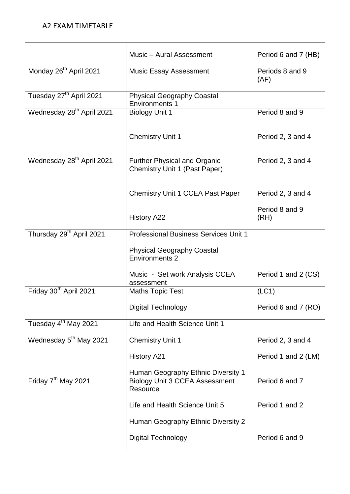|                                       | Music - Aural Assessment                                                    | Period 6 and 7 (HB)     |
|---------------------------------------|-----------------------------------------------------------------------------|-------------------------|
| Monday 26 <sup>th</sup> April 2021    | <b>Music Essay Assessment</b>                                               | Periods 8 and 9<br>(AF) |
| Tuesday 27 <sup>th</sup> April 2021   | <b>Physical Geography Coastal</b><br><b>Environments 1</b>                  |                         |
| Wednesday 28 <sup>th</sup> April 2021 | <b>Biology Unit 1</b>                                                       | Period 8 and 9          |
|                                       | <b>Chemistry Unit 1</b>                                                     | Period 2, 3 and 4       |
| Wednesday 28 <sup>th</sup> April 2021 | <b>Further Physical and Organic</b><br><b>Chemistry Unit 1 (Past Paper)</b> | Period 2, 3 and 4       |
|                                       | <b>Chemistry Unit 1 CCEA Past Paper</b>                                     | Period 2, 3 and 4       |
|                                       | <b>History A22</b>                                                          | Period 8 and 9<br>(RH)  |
| Thursday 29 <sup>th</sup> April 2021  | <b>Professional Business Services Unit 1</b>                                |                         |
|                                       | <b>Physical Geography Coastal</b><br><b>Environments 2</b>                  |                         |
|                                       | Music - Set work Analysis CCEA<br>assessment                                | Period 1 and 2 (CS)     |
| Friday 30 <sup>th</sup> April 2021    | <b>Maths Topic Test</b>                                                     | (LC1)                   |
|                                       | <b>Digital Technology</b>                                                   | Period 6 and 7 (RO)     |
| Tuesday 4 <sup>th</sup> May 2021      | Life and Health Science Unit 1                                              |                         |
| Wednesday 5 <sup>th</sup> May 2021    | <b>Chemistry Unit 1</b>                                                     | Period 2, 3 and 4       |
|                                       | <b>History A21</b>                                                          | Period 1 and 2 (LM)     |
|                                       | Human Geography Ethnic Diversity 1                                          |                         |
| Friday 7 <sup>th</sup> May 2021       | <b>Biology Unit 3 CCEA Assessment</b><br>Resource                           | Period 6 and 7          |
|                                       | Life and Health Science Unit 5                                              | Period 1 and 2          |
|                                       | Human Geography Ethnic Diversity 2                                          |                         |
|                                       | <b>Digital Technology</b>                                                   | Period 6 and 9          |